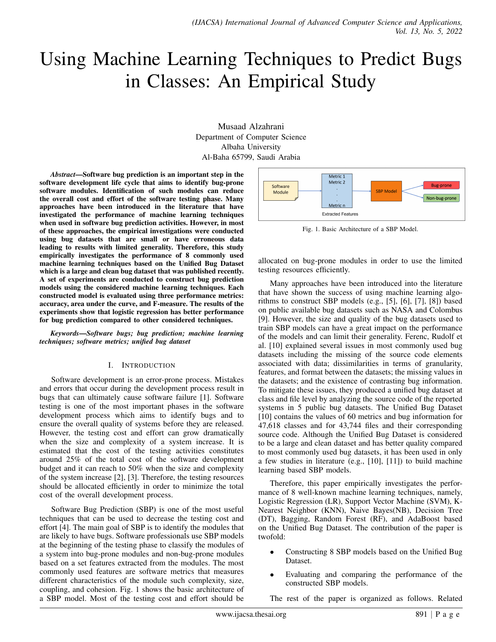# Using Machine Learning Techniques to Predict Bugs in Classes: An Empirical Study

Musaad Alzahrani Department of Computer Science Albaha University Al-Baha 65799, Saudi Arabia

*Abstract*—Software bug prediction is an important step in the software development life cycle that aims to identify bug-prone software modules. Identification of such modules can reduce the overall cost and effort of the software testing phase. Many approaches have been introduced in the literature that have investigated the performance of machine learning techniques when used in software bug prediction activities. However, in most of these approaches, the empirical investigations were conducted using bug datasets that are small or have erroneous data leading to results with limited generality. Therefore, this study empirically investigates the performance of 8 commonly used machine learning techniques based on the Unified Bug Dataset which is a large and clean bug dataset that was published recently. A set of experiments are conducted to construct bug prediction models using the considered machine learning techniques. Each constructed model is evaluated using three performance metrics: accuracy, area under the curve, and F-measure. The results of the experiments show that logistic regression has better performance for bug prediction compared to other considered techniques.

*Keywords*—*Software bugs; bug prediction; machine learning techniques; software metrics; unified bug dataset*

#### I. INTRODUCTION

Software development is an error-prone process. Mistakes and errors that occur during the development process result in bugs that can ultimately cause software failure [1]. Software testing is one of the most important phases in the software development process which aims to identify bugs and to ensure the overall quality of systems before they are released. However, the testing cost and effort can grow dramatically when the size and complexity of a system increase. It is estimated that the cost of the testing activities constitutes around 25% of the total cost of the software development budget and it can reach to 50% when the size and complexity of the system increase [2], [3]. Therefore, the testing resources should be allocated efficiently in order to minimize the total cost of the overall development process.

Software Bug Prediction (SBP) is one of the most useful techniques that can be used to decrease the testing cost and effort [4]. The main goal of SBP is to identify the modules that are likely to have bugs. Software professionals use SBP models at the beginning of the testing phase to classify the modules of a system into bug-prone modules and non-bug-prone modules based on a set features extracted from the modules. The most commonly used features are software metrics that measures different characteristics of the module such complexity, size, coupling, and cohesion. Fig. 1 shows the basic architecture of a SBP model. Most of the testing cost and effort should be



Fig. 1. Basic Architecture of a SBP Model.

allocated on bug-prone modules in order to use the limited testing resources efficiently.

Many approaches have been introduced into the literature that have shown the success of using machine learning algorithms to construct SBP models (e.g., [5], [6], [7], [8]) based on public available bug datasets such as NASA and Colombus [9]. However, the size and quality of the bug datasets used to train SBP models can have a great impact on the performance of the models and can limit their generality. Ferenc, Rudolf et al. [10] explained several issues in most commonly used bug datasets including the missing of the source code elements associated with data; dissimilarities in terms of granularity, features, and format between the datasets; the missing values in the datasets; and the existence of contrasting bug information. To mitigate these issues, they produced a unified bug dataset at class and file level by analyzing the source code of the reported systems in 5 public bug datasets. The Unified Bug Dataset [10] contains the values of 60 metrics and bug information for 47,618 classes and for 43,744 files and their corresponding source code. Although the Unified Bug Dataset is considered to be a large and clean dataset and has better quality compared to most commonly used bug datasets, it has been used in only a few studies in literature (e.g., [10], [11]) to build machine learning based SBP models.

Therefore, this paper empirically investigates the performance of 8 well-known machine learning techniques, namely, Logistic Regression (LR), Support Vector Machine (SVM), K-Nearest Neighbor (KNN), Naive Bayes(NB), Decision Tree (DT), Bagging, Random Forest (RF), and AdaBoost based on the Unified Bug Dataset. The contribution of the paper is twofold:

- Constructing 8 SBP models based on the Unified Bug Dataset.
- Evaluating and comparing the performance of the constructed SBP models.

The rest of the paper is organized as follows. Related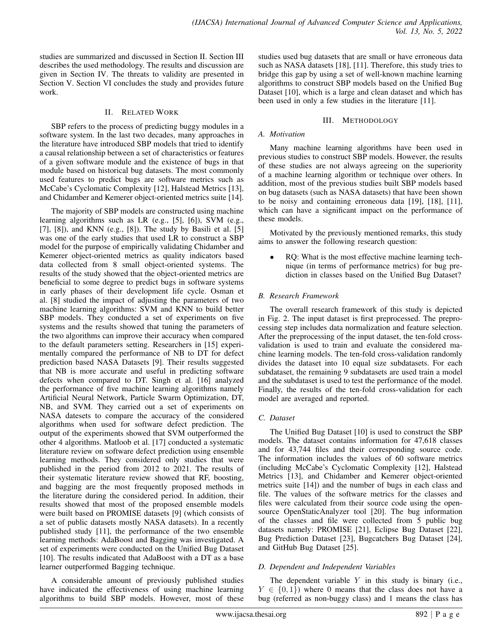studies are summarized and discussed in Section II. Section III describes the used methodology. The results and discussion are given in Section IV. The threats to validity are presented in Section V. Section VI concludes the study and provides future work.

#### II. RELATED WORK

SBP refers to the process of predicting buggy modules in a software system. In the last two decades, many approaches in the literature have introduced SBP models that tried to identify a causal relationship between a set of characteristics or features of a given software module and the existence of bugs in that module based on historical bug datasets. The most commonly used features to predict bugs are software metrics such as McCabe's Cyclomatic Complexity [12], Halstead Metrics [13], and Chidamber and Kemerer object-oriented metrics suite [14].

The majority of SBP models are constructed using machine learning algorithms such as LR (e.g., [5], [6]), SVM (e.g., [7], [8]), and KNN (e.g., [8]). The study by Basili et al. [5] was one of the early studies that used LR to construct a SBP model for the purpose of empirically validating Chidamber and Kemerer object-oriented metrics as quality indicators based data collected from 8 small object-oriented systems. The results of the study showed that the object-oriented metrics are beneficial to some degree to predict bugs in software systems in early phases of their development life cycle. Osman et al. [8] studied the impact of adjusting the parameters of two machine learning algorithms: SVM and KNN to build better SBP models. They conducted a set of experiments on five systems and the results showed that tuning the parameters of the two algorithms can improve their accuracy when compared to the default parameters setting. Researchers in [15] experimentally compared the performance of NB to DT for defect prediction based NASA Datasets [9]. Their results suggested that NB is more accurate and useful in predicting software defects when compared to DT. Singh et al. [16] analyzed the performance of five machine learning algorithms namely Artificial Neural Network, Particle Swarm Optimization, DT, NB, and SVM. They carried out a set of experiments on NASA datesets to compare the accuracy of the considered algorithms when used for software defect prediction. The output of the experiments showed that SVM outperformed the other 4 algorithms. Matloob et al. [17] conducted a systematic literature review on software defect prediction using ensemble learning methods. They considered only studies that were published in the period from 2012 to 2021. The results of their systematic literature review showed that RF, boosting, and bagging are the most frequently proposed methods in the literature during the considered period. In addition, their results showed that most of the proposed ensemble models were built based on PROMISE datasets [9] (which consists of a set of public datasets mostly NASA datasets). In a recently published study [11], the performance of the two ensemble learning methods: AdaBoost and Bagging was investigated. A set of experiments were conducted on the Unified Bug Dataset [10]. The results indicated that AdaBoost with a DT as a base learner outperformed Bagging technique.

A considerable amount of previously published studies have indicated the effectiveness of using machine learning algorithms to build SBP models. However, most of these studies used bug datasets that are small or have erroneous data such as NASA datasets [18], [11]. Therefore, this study tries to bridge this gap by using a set of well-known machine learning algorithms to construct SBP models based on the Unified Bug Dataset [10], which is a large and clean dataset and which has been used in only a few studies in the literature [11].

## III. METHODOLOGY

## *A. Motivation*

Many machine learning algorithms have been used in previous studies to construct SBP models. However, the results of these studies are not always agreeing on the superiority of a machine learning algorithm or technique over others. In addition, most of the previous studies built SBP models based on bug datasets (such as NASA datasets) that have been shown to be noisy and containing erroneous data [19], [18], [11], which can have a significant impact on the performance of these models.

Motivated by the previously mentioned remarks, this study aims to answer the following research question:

RQ: What is the most effective machine learning technique (in terms of performance metrics) for bug prediction in classes based on the Unified Bug Dataset?

## *B. Research Framework*

The overall research framework of this study is depicted in Fig. 2. The input dataset is first preprocessed. The preprocessing step includes data normalization and feature selection. After the preprocessing of the input dataset, the ten-fold crossvalidation is used to train and evaluate the considered machine learning models. The ten-fold cross-validation randomly divides the dataset into 10 equal size subdatasets. For each subdataset, the remaining 9 subdatasets are used train a model and the subdataset is used to test the performance of the model. Finally, the results of the ten-fold cross-validation for each model are averaged and reported.

## *C. Dataset*

The Unified Bug Dataset [10] is used to construct the SBP models. The dataset contains information for 47,618 classes and for 43,744 files and their corresponding source code. The information includes the values of 60 software metrics (including McCabe's Cyclomatic Complexity [12], Halstead Metrics [13], and Chidamber and Kemerer object-oriented metrics suite [14]) and the number of bugs in each class and file. The values of the software metrics for the classes and files were calculated from their source code using the opensource OpenStaticAnalyzer tool [20]. The bug information of the classes and file were collected from 5 public bug datasets namely: PROMISE [21], Eclipse Bug Dataset [22], Bug Prediction Dataset [23], Bugcatchers Bug Dataset [24], and GitHub Bug Dataset [25].

## *D. Dependent and Independent Variables*

The dependent variable  $Y$  in this study is binary (i.e.,  $Y \in \{0, 1\}$  where 0 means that the class does not have a bug (referred as non-buggy class) and 1 means the class has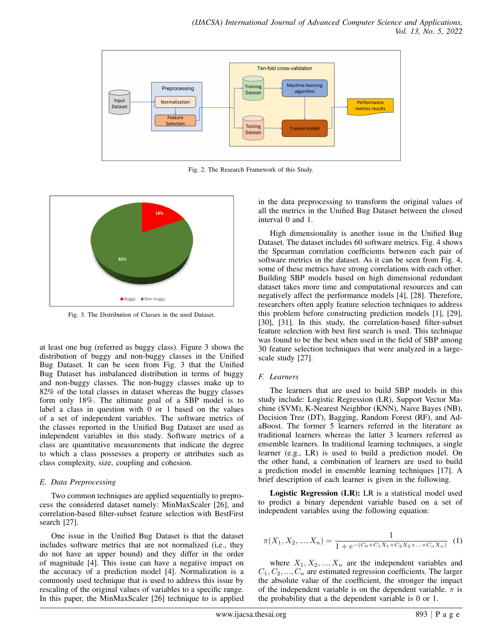

Fig. 2. The Research Framework of this Study.



Fig. 3. The Distribution of Classes in the used Dataset.

at least one bug (referred as buggy class). Figure 3 shows the distribution of buggy and non-buggy classes in the Unified Bug Dataset. It can be seen from Fig. 3 that the Unified Bug Dataset has imbalanced distribution in terms of buggy and non-buggy classes. The non-buggy classes make up to 82% of the total classes in dataset whereas the buggy classes form only 18%. The ultimate goal of a SBP model is to label a class in question with 0 or 1 based on the values of a set of independent variables. The software metrics of the classes reported in the Unified Bug Dataset are used as independent variables in this study. Software metrics of a class are quantitative measurements that indicate the degree to which a class possesses a property or attributes such as class complexity, size, coupling and cohesion.

#### *E. Data Preprocessing*

Two common techniques are applied sequentially to preprocess the considered dataset namely: MinMaxScaler [26], and correlation-based filter-subset feature selection with BestFirst search [27].

One issue in the Unified Bug Dataset is that the dataset includes software metrics that are not normalized (i,e., they do not have an upper bound) and they differ in the order of magnitude [4]. This issue can have a negative impact on the accuracy of a prediction model [4]. Normalization is a commonly used technique that is used to address this issue by rescaling of the original values of variables to a specific range. In this paper, the MinMaxScaler [26] technique to is applied

in the data preprocessing to transform the original values of all the metrics in the Unified Bug Dataset between the closed interval 0 and 1.

High dimensionality is another issue in the Unified Bug Dataset. The dataset includes 60 software metrics. Fig. 4 shows the Spearman correlation coefficients between each pair of software metrics in the dataset. As it can be seen from Fig. 4, some of these metrics have strong correlations with each other. Building SBP models based on high dimensional redundant dataset takes more time and computational resources and can negatively affect the performance models [4], [28]. Therefore, researchers often apply feature selection techniques to address this problem before constructing prediction models [1], [29], [30], [31]. In this study, the correlation-based filter-subset feature selection with best first search is used. This technique was found to be the best when used in the field of SBP among 30 feature selection techniques that were analyzed in a largescale study [27].

#### *F. Learners*

The learners that are used to build SBP models in this study include: Logistic Regression (LR), Support Vector Machine (SVM), K-Nearest Neighbor (KNN), Naive Bayes (NB), Decision Tree (DT), Bagging, Random Forest (RF), and AdaBoost. The former 5 learners referred in the literature as traditional learners whereas the latter 3 learners referred as ensemble learners. In traditional learning techniques, a single learner (e.g., LR) is used to build a prediction model. On the other hand, a combination of learners are used to build a prediction model in ensemble learning techniques [17]. A brief description of each learner is given in the following.

Logistic Regression (LR): LR is a statistical model used to predict a binary dependent variable based on a set of independent variables using the following equation:

$$
\pi(X_1, X_2, ..., X_n) = \frac{1}{1 + e^{-(C_0 + C_1 X_1 + C_2 X_2 + ... + C_n X_n)}} \tag{1}
$$

where  $X_1, X_2, ..., X_n$  are the independent variables and  $C_1, C_2, ..., C_n$  are estimated regression coefficients. The larger the absolute value of the coefficient, the stronger the impact of the independent variable is on the dependent variable.  $\pi$  is the probability that a the dependent variable is 0 or 1.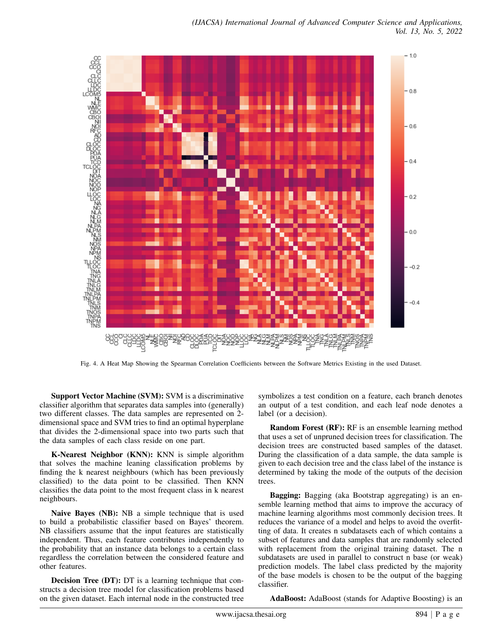

Fig. 4. A Heat Map Showing the Spearman Correlation Coefficients between the Software Metrics Existing in the used Dataset.

Support Vector Machine (SVM): SVM is a discriminative classifier algorithm that separates data samples into (generally) two different classes. The data samples are represented on 2 dimensional space and SVM tries to find an optimal hyperplane that divides the 2-dimensional space into two parts such that the data samples of each class reside on one part.

K-Nearest Neighbor (KNN): KNN is simple algorithm that solves the machine leaning classification problems by finding the k nearest neighbours (which has been previously classified) to the data point to be classified. Then KNN classifies the data point to the most frequent class in k nearest neighbours.

Naive Bayes (NB): NB a simple technique that is used to build a probabilistic classifier based on Bayes' theorem. NB classifiers assume that the input features are statistically independent. Thus, each feature contributes independently to the probability that an instance data belongs to a certain class regardless the correlation between the considered feature and other features.

Decision Tree (DT): DT is a learning technique that constructs a decision tree model for classification problems based on the given dataset. Each internal node in the constructed tree

symbolizes a test condition on a feature, each branch denotes an output of a test condition, and each leaf node denotes a label (or a decision).

Random Forest (RF): RF is an ensemble learning method that uses a set of unpruned decision trees for classification. The decision trees are constructed based samples of the dataset. During the classification of a data sample, the data sample is given to each decision tree and the class label of the instance is determined by taking the mode of the outputs of the decision trees.

Bagging: Bagging (aka Bootstrap aggregating) is an ensemble learning method that aims to improve the accuracy of machine learning algorithms most commonly decision trees. It reduces the variance of a model and helps to avoid the overfitting of data. It creates n subdatasets each of which contains a subset of features and data samples that are randomly selected with replacement from the original training dataset. The n subdatasets are used in parallel to construct n base (or weak) prediction models. The label class predicted by the majority of the base models is chosen to be the output of the bagging classifier.

AdaBoost: AdaBoost (stands for Adaptive Boosting) is an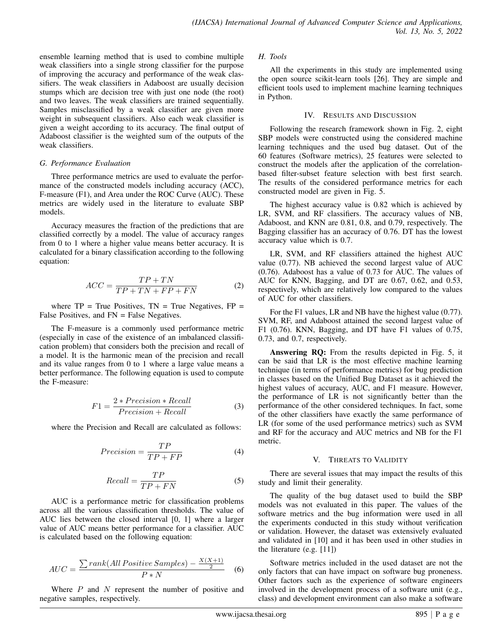ensemble learning method that is used to combine multiple weak classifiers into a single strong classifier for the purpose of improving the accuracy and performance of the weak classifiers. The weak classifiers in Adaboost are usually decision stumps which are decision tree with just one node (the root) and two leaves. The weak classifiers are trained sequentially. Samples misclassified by a weak classifier are given more weight in subsequent classifiers. Also each weak classifier is given a weight according to its accuracy. The final output of Adaboost classifier is the weighted sum of the outputs of the weak classifiers.

#### *G. Performance Evaluation*

Three performance metrics are used to evaluate the performance of the constructed models including accuracy (ACC), F-measure (F1), and Area under the ROC Curve (AUC). These metrics are widely used in the literature to evaluate SBP models.

Accuracy measures the fraction of the predictions that are classified correctly by a model. The value of accuracy ranges from 0 to 1 where a higher value means better accuracy. It is calculated for a binary classification according to the following equation:

$$
ACC = \frac{TP + TN}{TP + TN + FP + FN}
$$
 (2)

where  $TP = True$  Positives,  $TN = True$  Negatives,  $FP =$ False Positives, and FN = False Negatives.

The F-measure is a commonly used performance metric (especially in case of the existence of an imbalanced classification problem) that considers both the precision and recall of a model. It is the harmonic mean of the precision and recall and its value ranges from 0 to 1 where a large value means a better performance. The following equation is used to compute the F-measure:

$$
F1 = \frac{2 * Precision * Recall}{Precision + Recall}
$$
 (3)

where the Precision and Recall are calculated as follows:

$$
Precision = \frac{TP}{TP + FP}
$$
 (4)

$$
Recall = \frac{TP}{TP + FN}
$$
 (5)

AUC is a performance metric for classification problems across all the various classification thresholds. The value of AUC lies between the closed interval [0, 1] where a larger value of AUC means better performance for a classifier. AUC is calculated based on the following equation:

$$
AUC = \frac{\sum rank(All Positive Samples) - \frac{X(X+1)}{2}}{P*N}
$$
 (6)

Where  $P$  and  $N$  represent the number of positive and negative samples, respectively.

### *H. Tools*

All the experiments in this study are implemented using the open source scikit-learn tools [26]. They are simple and efficient tools used to implement machine learning techniques in Python.

### IV. RESULTS AND DISCUSSION

Following the research framework shown in Fig. 2, eight SBP models were constructed using the considered machine learning techniques and the used bug dataset. Out of the 60 features (Software metrics), 25 features were selected to construct the models after the application of the correlationbased filter-subset feature selection with best first search. The results of the considered performance metrics for each constructed model are given in Fig. 5.

The highest accuracy value is 0.82 which is achieved by LR, SVM, and RF classifiers. The accuracy values of NB, Adaboost, and KNN are 0.81, 0.8, and 0.79, respectively. The Bagging classifier has an accuracy of 0.76. DT has the lowest accuracy value which is 0.7.

LR, SVM, and RF classifiers attained the highest AUC value (0.77). NB achieved the second largest value of AUC (0.76). Adaboost has a value of 0.73 for AUC. The values of AUC for KNN, Bagging, and DT are 0.67, 0.62, and 0.53, respectively, which are relatively low compared to the values of AUC for other classifiers.

For the F1 values, LR and NB have the highest value (0.77). SVM, RF, and Adaboost attained the second largest value of F1 (0.76). KNN, Bagging, and DT have F1 values of 0.75, 0.73, and 0.7, respectively.

Answering RQ: From the results depicted in Fig. 5, it can be said that LR is the most effective machine learning technique (in terms of performance metrics) for bug prediction in classes based on the Unified Bug Dataset as it achieved the highest values of accuracy, AUC, and F1 measure. However, the performance of LR is not significantly better than the performance of the other considered techniques. In fact, some of the other classifiers have exactly the same performance of LR (for some of the used performance metrics) such as SVM and RF for the accuracy and AUC metrics and NB for the F1 metric.

## V. THREATS TO VALIDITY

There are several issues that may impact the results of this study and limit their generality.

The quality of the bug dataset used to build the SBP models was not evaluated in this paper. The values of the software metrics and the bug information were used in all the experiments conducted in this study without verification or validation. However, the dataset was extensively evaluated and validated in [10] and it has been used in other studies in the literature (e.g. [11])

Software metrics included in the used dataset are not the only factors that can have impact on software bug proneness. Other factors such as the experience of software engineers involved in the development process of a software unit (e.g., class) and development environment can also make a software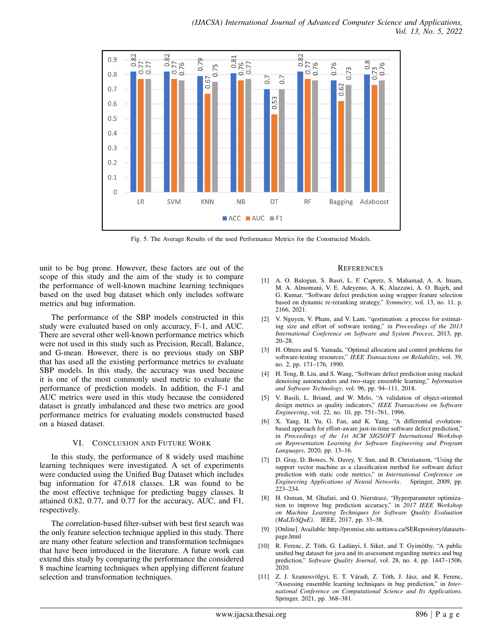

Fig. 5. The Average Results of the used Performance Metrics for the Constructed Models.

unit to be bug prone. However, these factors are out of the scope of this study and the aim of the study is to compare the performance of well-known machine learning techniques based on the used bug dataset which only includes software metrics and bug information.

The performance of the SBP models constructed in this study were evaluated based on only accuracy, F-1, and AUC. There are several other well-known performance metrics which were not used in this study such as Precision, Recall, Balance, and G-mean. However, there is no previous study on SBP that has used all the existing performance metrics to evaluate SBP models. In this study, the accuracy was used because it is one of the most commonly used metric to evaluate the performance of prediction models. In addition, the F-1 and AUC metrics were used in this study because the considered dataset is greatly imbalanced and these two metrics are good performance metrics for evaluating models constructed based on a biased dataset.

#### VI. CONCLUSION AND FUTURE WORK

In this study, the performance of 8 widely used machine learning techniques were investigated. A set of experiments were conducted using the Unified Bug Dataset which includes bug information for 47,618 classes. LR was found to be the most effective technique for predicting buggy classes. It attained 0.82, 0.77, and 0.77 for the accuracy, AUC, and F1, respectively.

The correlation-based filter-subset with best first search was the only feature selection technique applied in this study. There are many other feature selection and transformation techniques that have been introduced in the literature. A future work can extend this study by comparing the performance the considered 8 machine learning techniques when applying different feature selection and transformation techniques.

#### **REFERENCES**

- [1] A. O. Balogun, S. Basri, L. F. Capretz, S. Mahamad, A. A. Imam, M. A. Almomani, V. E. Adeyemo, A. K. Alazzawi, A. O. Bajeh, and G. Kumar, "Software defect prediction using wrapper feature selection based on dynamic re-reranking strategy," *Symmetry*, vol. 13, no. 11, p. 2166, 2021.
- [2] V. Nguyen, V. Pham, and V. Lam, "qestimation: a process for estimating size and effort of software testing," in *Proceedings of the 2013 International Conference on Software and System Process*, 2013, pp. 20–28.
- [3] H. Ohtera and S. Yamada, "Optimal allocation and control problems for software-testing resources," *IEEE Transactions on Reliability*, vol. 39, no. 2, pp. 171–176, 1990.
- [4] H. Tong, B. Liu, and S. Wang, "Software defect prediction using stacked denoising autoencoders and two-stage ensemble learning," *Information and Software Technology*, vol. 96, pp. 94–111, 2018.
- [5] V. Basili, L. Briand, and W. Melo, "A validation of object-oriented design metrics as quality indicators," *IEEE Transactions on Software Engineering*, vol. 22, no. 10, pp. 751–761, 1996.
- [6] X. Yang, H. Yu, G. Fan, and K. Yang, "A differential evolutionbased approach for effort-aware just-in-time software defect prediction," in *Proceedings of the 1st ACM SIGSOFT International Workshop on Representation Learning for Software Engineering and Program Languages*, 2020, pp. 13–16.
- [7] D. Gray, D. Bowes, N. Davey, Y. Sun, and B. Christianson, "Using the support vector machine as a classification method for software defect prediction with static code metrics," in *International Conference on Engineering Applications of Neural Networks*. Springer, 2009, pp. 223–234.
- [8] H. Osman, M. Ghafari, and O. Nierstrasz, "Hyperparameter optimization to improve bug prediction accuracy," in *2017 IEEE Workshop on Machine Learning Techniques for Software Quality Evaluation (MaLTeSQuE)*. IEEE, 2017, pp. 33–38.
- [9] [Online]. Available: http://promise.site.uottawa.ca/SERepository/datasetspage.html
- R. Ferenc, Z. Tóth, G. Ladányi, I. Siket, and T. Gyimóthy, "A public unified bug dataset for java and its assessment regarding metrics and bug prediction," *Software Quality Journal*, vol. 28, no. 4, pp. 1447–1506, 2020.
- [11] Z. J. Szamosvölgyi, E. T. Váradi, Z. Tóth, J. Jász, and R. Ferenc, "Assessing ensemble learning techniques in bug prediction," in *International Conference on Computational Science and Its Applications*. Springer, 2021, pp. 368–381.